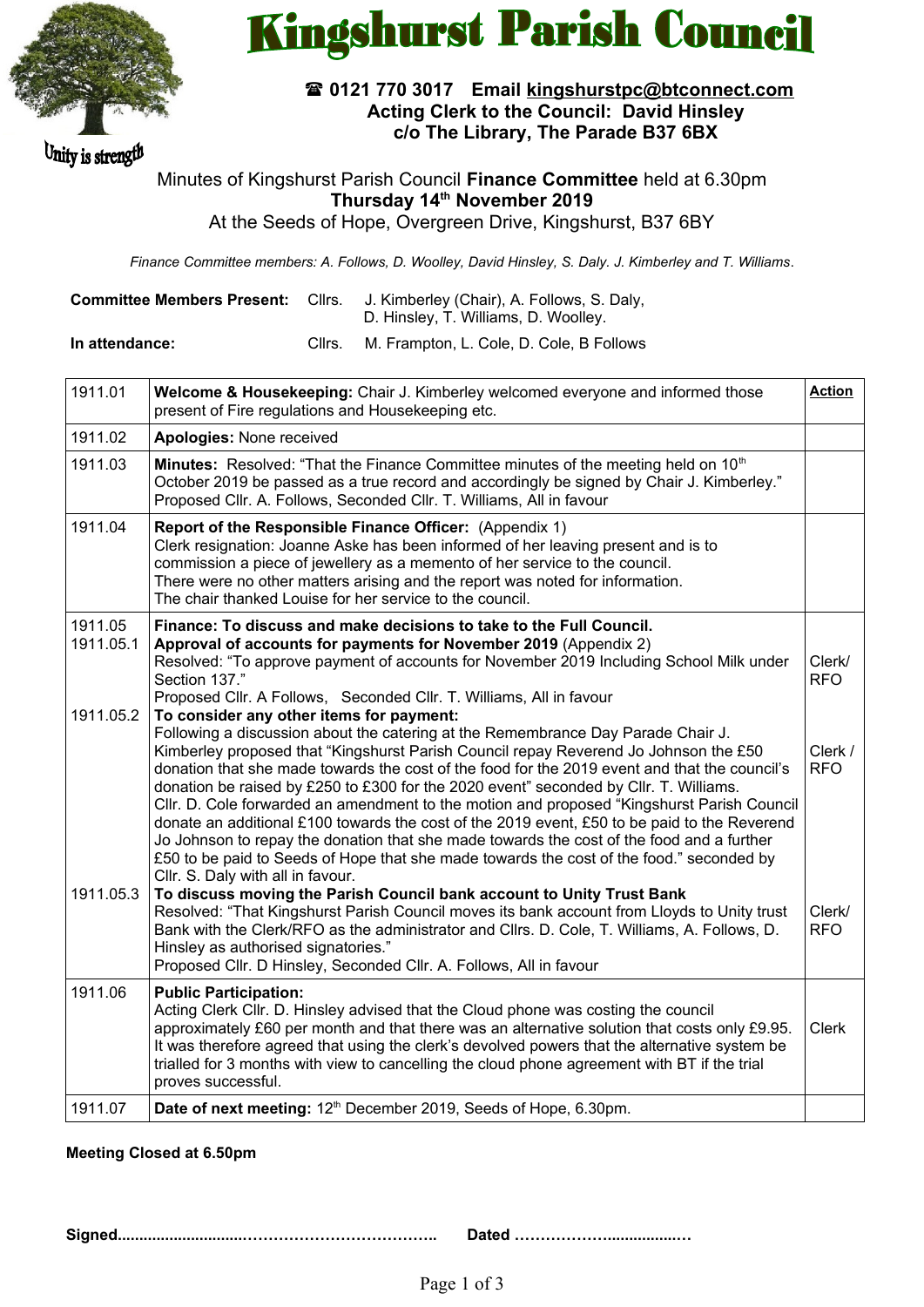

Unity is strength

# **Kingshurst Parish Council**

# **0121 770 3017 Email [kingshurstpc@btconnect.com](mailto:kingshurstpc@btconnect.com) Acting Clerk to the Council: David Hinsley c/o The Library, The Parade B37 6BX**

Minutes of Kingshurst Parish Council **Finance Committee** held at 6.30pm **Thursday 14th November 2019**

At the Seeds of Hope, Overgreen Drive, Kingshurst, B37 6BY

*Finance Committee members: A. Follows, D. Woolley, David Hinsley, S. Daly. J. Kimberley and T. Williams*.

| <b>Committee Members Present: Clirs.</b> | J. Kimberley (Chair), A. Follows, S. Daly,<br>D. Hinsley, T. Williams, D. Woolley. |
|------------------------------------------|------------------------------------------------------------------------------------|
|                                          |                                                                                    |
|                                          |                                                                                    |

**In attendance:** Cllrs. M. Frampton, L. Cole, D. Cole, B Follows

| 1911.01              | Welcome & Housekeeping: Chair J. Kimberley welcomed everyone and informed those<br>present of Fire regulations and Housekeeping etc.                                                                                                                                                                                                                                                                                                                                                                                                                                                                                                                                                                                                                                                                                                       | <b>Action</b>         |
|----------------------|--------------------------------------------------------------------------------------------------------------------------------------------------------------------------------------------------------------------------------------------------------------------------------------------------------------------------------------------------------------------------------------------------------------------------------------------------------------------------------------------------------------------------------------------------------------------------------------------------------------------------------------------------------------------------------------------------------------------------------------------------------------------------------------------------------------------------------------------|-----------------------|
| 1911.02              | Apologies: None received                                                                                                                                                                                                                                                                                                                                                                                                                                                                                                                                                                                                                                                                                                                                                                                                                   |                       |
| 1911.03              | Minutes: Resolved: "That the Finance Committee minutes of the meeting held on 10 <sup>th</sup><br>October 2019 be passed as a true record and accordingly be signed by Chair J. Kimberley."<br>Proposed Cllr. A. Follows, Seconded Cllr. T. Williams, All in favour                                                                                                                                                                                                                                                                                                                                                                                                                                                                                                                                                                        |                       |
| 1911.04              | Report of the Responsible Finance Officer: (Appendix 1)<br>Clerk resignation: Joanne Aske has been informed of her leaving present and is to<br>commission a piece of jewellery as a memento of her service to the council.<br>There were no other matters arising and the report was noted for information.<br>The chair thanked Louise for her service to the council.                                                                                                                                                                                                                                                                                                                                                                                                                                                                   |                       |
| 1911.05<br>1911.05.1 | Finance: To discuss and make decisions to take to the Full Council.<br>Approval of accounts for payments for November 2019 (Appendix 2)<br>Resolved: "To approve payment of accounts for November 2019 Including School Milk under<br>Section 137."<br>Proposed Cllr. A Follows, Seconded Cllr. T. Williams, All in favour                                                                                                                                                                                                                                                                                                                                                                                                                                                                                                                 | Clerk/<br><b>RFO</b>  |
| 1911.05.2            | To consider any other items for payment:<br>Following a discussion about the catering at the Remembrance Day Parade Chair J.<br>Kimberley proposed that "Kingshurst Parish Council repay Reverend Jo Johnson the £50<br>donation that she made towards the cost of the food for the 2019 event and that the council's<br>donation be raised by £250 to £300 for the 2020 event" seconded by Cllr. T. Williams.<br>Cllr. D. Cole forwarded an amendment to the motion and proposed "Kingshurst Parish Council<br>donate an additional £100 towards the cost of the 2019 event, £50 to be paid to the Reverend<br>Jo Johnson to repay the donation that she made towards the cost of the food and a further<br>£50 to be paid to Seeds of Hope that she made towards the cost of the food." seconded by<br>Cllr. S. Daly with all in favour. | Clerk /<br><b>RFO</b> |
| 1911.05.3            | To discuss moving the Parish Council bank account to Unity Trust Bank<br>Resolved: "That Kingshurst Parish Council moves its bank account from Lloyds to Unity trust<br>Bank with the Clerk/RFO as the administrator and Cllrs. D. Cole, T. Williams, A. Follows, D.<br>Hinsley as authorised signatories."<br>Proposed Cllr. D Hinsley, Seconded Cllr. A. Follows, All in favour                                                                                                                                                                                                                                                                                                                                                                                                                                                          | Clerk/<br><b>RFO</b>  |
| 1911.06              | <b>Public Participation:</b><br>Acting Clerk Cllr. D. Hinsley advised that the Cloud phone was costing the council<br>approximately £60 per month and that there was an alternative solution that costs only £9.95.<br>It was therefore agreed that using the clerk's devolved powers that the alternative system be<br>trialled for 3 months with view to cancelling the cloud phone agreement with BT if the trial<br>proves successful.                                                                                                                                                                                                                                                                                                                                                                                                 | <b>Clerk</b>          |
| 1911.07              | Date of next meeting: 12 <sup>th</sup> December 2019, Seeds of Hope, 6.30pm.                                                                                                                                                                                                                                                                                                                                                                                                                                                                                                                                                                                                                                                                                                                                                               |                       |

### **Meeting Closed at 6.50pm**

**Signed.............................……………………………….. Dated ………………................…**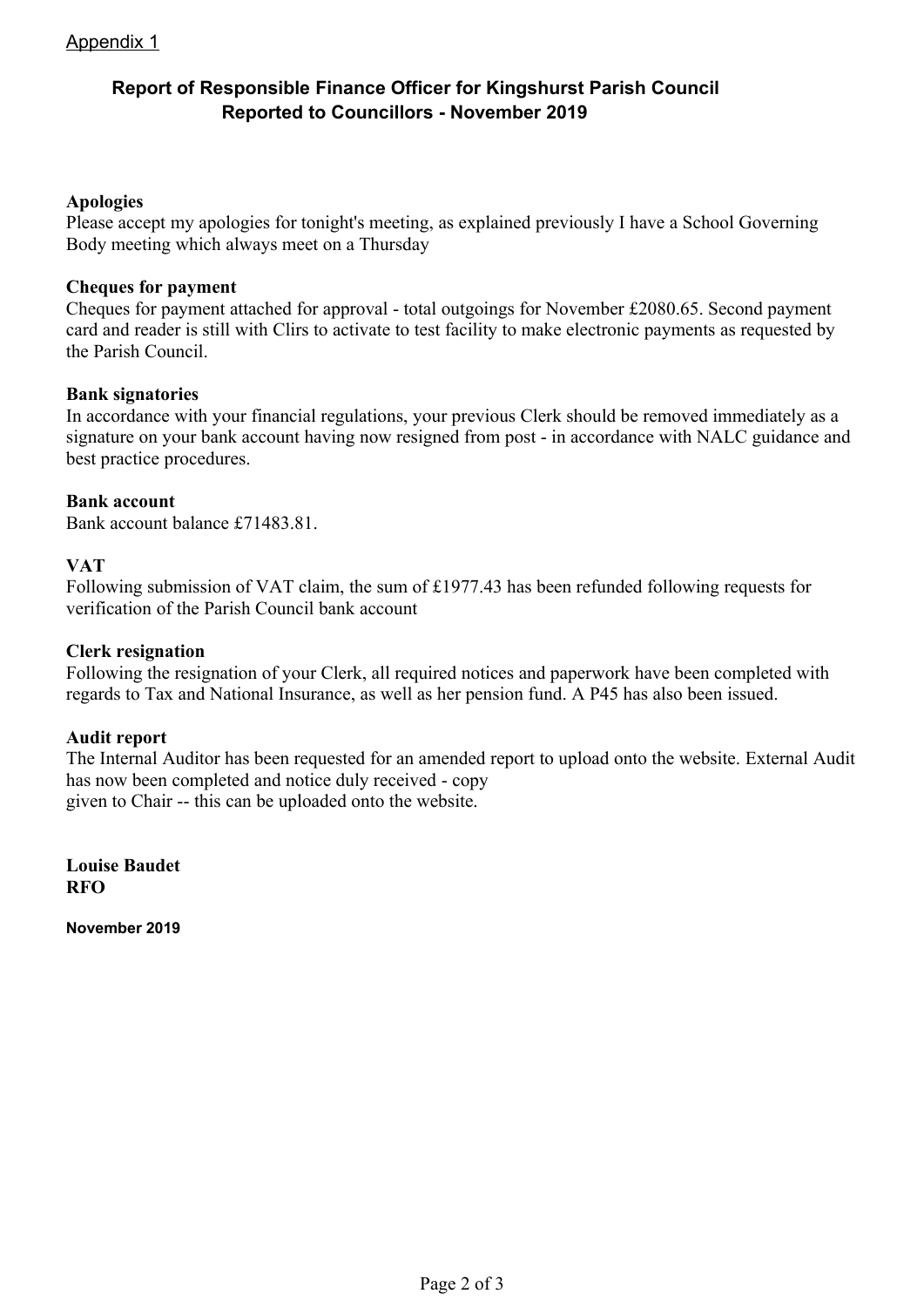# Appendix 1

# **Report of Responsible Finance Officer for Kingshurst Parish Council Reported to Councillors - November 2019**

### **Apologies**

Please accept my apologies for tonight's meeting, as explained previously I have a School Governing Body meeting which always meet on a Thursday

### **Cheques for payment**

Cheques for payment attached for approval - total outgoings for November £2080.65. Second payment card and reader is still with Clirs to activate to test facility to make electronic payments as requested by the Parish Council.

### **Bank signatories**

In accordance with your financial regulations, your previous Clerk should be removed immediately as a signature on your bank account having now resigned from post - in accordance with NALC guidance and best practice procedures.

### **Bank account**

Bank account balance £71483.81.

### **VAT**

Following submission of VAT claim, the sum of £1977.43 has been refunded following requests for verification of the Parish Council bank account

### **Clerk resignation**

Following the resignation of your Clerk, all required notices and paperwork have been completed with regards to Tax and National Insurance, as well as her pension fund. A P45 has also been issued.

### **Audit report**

The Internal Auditor has been requested for an amended report to upload onto the website. External Audit has now been completed and notice duly received - copy given to Chair -- this can be uploaded onto the website.

**Louise Baudet RFO**

**November 2019**